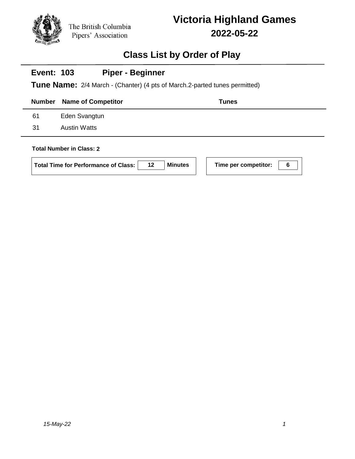

## **Class List by Order of Play**

#### **Event: 103 Piper - Beginner**

**Tune Name:** 2/4 March - (Chanter) (4 pts of March.2-parted tunes permitted)

|     | <b>Number</b> Name of Competitor | <b>Tunes</b> |
|-----|----------------------------------|--------------|
| 61  | Eden Svangtun                    |              |
| -31 | <b>Austin Watts</b>              |              |
|     |                                  |              |

### **Total Number in Class: 2**

| <b>Total Time for Performance of Class:</b> | 12 <sup>12</sup> | <b>Minutes</b> |
|---------------------------------------------|------------------|----------------|
|---------------------------------------------|------------------|----------------|

**Time per competitor: 6**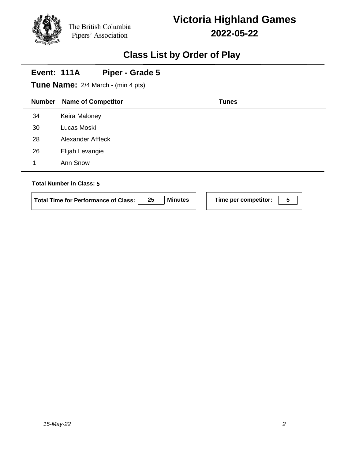## **Class List by Order of Play**

#### **Event: 111A Piper - Grade 5**

**Tune Name:** 2/4 March - (min 4 pts)

|                                 | <b>Number</b> | <b>Name of Competitor</b> | <b>Tunes</b> |  |
|---------------------------------|---------------|---------------------------|--------------|--|
|                                 | 34            | Keira Maloney             |              |  |
|                                 | 30            | Lucas Moski               |              |  |
|                                 | 28            | Alexander Affleck         |              |  |
|                                 | 26            | Elijah Levangie           |              |  |
|                                 | 1             | Ann Snow                  |              |  |
|                                 |               |                           |              |  |
| <b>Total Number in Class: 5</b> |               |                           |              |  |

| <b>Total Time for Performance of Class:</b> |  | <b>Minutes</b> |  | Time per competitor: |  |  |
|---------------------------------------------|--|----------------|--|----------------------|--|--|
|---------------------------------------------|--|----------------|--|----------------------|--|--|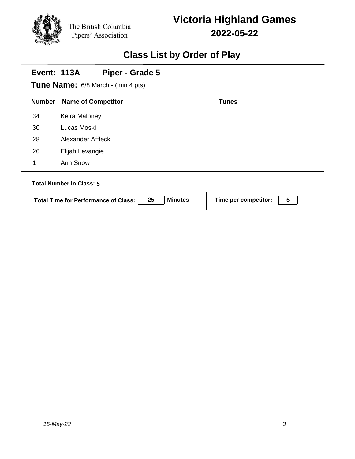## **Class List by Order of Play**

### **Event: 113A Piper - Grade 5**

**Tune Name:** 6/8 March - (min 4 pts)

| <b>Number</b> | <b>Name of Competitor</b>       | <b>Tunes</b> |  |
|---------------|---------------------------------|--------------|--|
| 34            | Keira Maloney                   |              |  |
| 30            | Lucas Moski                     |              |  |
| 28            | Alexander Affleck               |              |  |
| 26            | Elijah Levangie                 |              |  |
| 1             | Ann Snow                        |              |  |
|               | <b>Total Number in Class: 5</b> |              |  |

| <b>Total Time for Performance of Class:</b> |  | <b>Minutes</b> |  | Time per competitor: |  |  |
|---------------------------------------------|--|----------------|--|----------------------|--|--|
|---------------------------------------------|--|----------------|--|----------------------|--|--|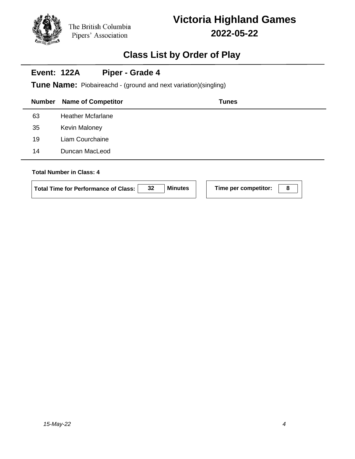## **Class List by Order of Play**

#### **Event: 122A Piper - Grade 4**

**Tune Name:** Piobaireachd - (ground and next variation)(singling)

| <b>Number</b> | <b>Name of Competitor</b>       | <b>Tunes</b> |  |
|---------------|---------------------------------|--------------|--|
| 63            | <b>Heather Mcfarlane</b>        |              |  |
| 35            | <b>Kevin Maloney</b>            |              |  |
| 19            | Liam Courchaine                 |              |  |
| 14            | Duncan MacLeod                  |              |  |
|               | <b>Total Number in Class: 4</b> |              |  |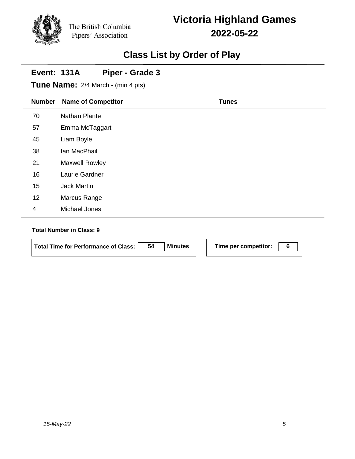## **Class List by Order of Play**

#### **Event: 131A Piper - Grade 3**

**Tune Name:** 2/4 March - (min 4 pts)

| <b>Number</b>  | <b>Name of Competitor</b> | <b>Tunes</b> |
|----------------|---------------------------|--------------|
| 70             | Nathan Plante             |              |
| 57             | Emma McTaggart            |              |
| 45             | Liam Boyle                |              |
| 38             | Ian MacPhail              |              |
| 21             | <b>Maxwell Rowley</b>     |              |
| 16             | Laurie Gardner            |              |
| 15             | <b>Jack Martin</b>        |              |
| 12             | Marcus Range              |              |
| $\overline{4}$ | Michael Jones             |              |

### **Total Number in Class: 9**

| Total Time for Performance of Class: | 54 | <b>Minutes</b> |
|--------------------------------------|----|----------------|

**Time per competitor:** 6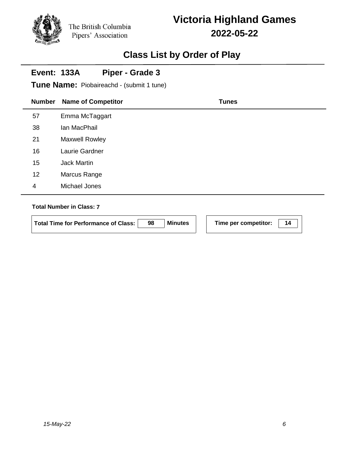# **Victoria Highland Games 2022-05-22**

### **Class List by Order of Play**

#### **Event: 133A Piper - Grade 3**

**Tune Name:** Piobaireachd - (submit 1 tune)

| <b>Number</b>  | <b>Name of Competitor</b> | <b>Tunes</b> |
|----------------|---------------------------|--------------|
| 57             | Emma McTaggart            |              |
| 38             | Ian MacPhail              |              |
| 21             | Maxwell Rowley            |              |
| 16             | Laurie Gardner            |              |
| 15             | <b>Jack Martin</b>        |              |
| 12             | Marcus Range              |              |
| $\overline{4}$ | Michael Jones             |              |
|                |                           |              |

### **Total Number in Class: 7**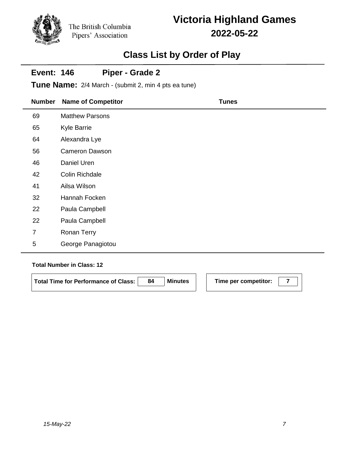# **Victoria Highland Games 2022-05-22**

## **Class List by Order of Play**

#### **Event: 146 Piper - Grade 2**

**Tune Name:** 2/4 March - (submit 2, min 4 pts ea tune)

| <b>Number</b>  | <b>Name of Competitor</b> | <b>Tunes</b> |
|----------------|---------------------------|--------------|
| 69             | <b>Matthew Parsons</b>    |              |
| 65             | <b>Kyle Barrie</b>        |              |
| 64             | Alexandra Lye             |              |
| 56             | <b>Cameron Dawson</b>     |              |
| 46             | Daniel Uren               |              |
| 42             | Colin Richdale            |              |
| 41             | Ailsa Wilson              |              |
| 32             | Hannah Focken             |              |
| 22             | Paula Campbell            |              |
| 22             | Paula Campbell            |              |
| $\overline{7}$ | Ronan Terry               |              |
| 5              | George Panagiotou         |              |

### **Total Number in Class: 12**

Total Time for Performance of Class: 84 Minutes | Time per competitor:  $\boxed{7}$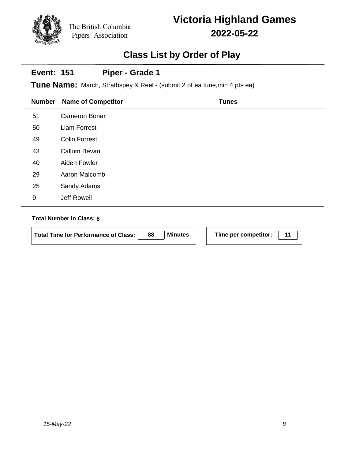# **Victoria Highland Games 2022-05-22**

# **Class List by Order of Play**

#### **Event: 151 Piper - Grade 1**

**Tune Name:** March, Strathspey & Reel - (submit 2 of ea tune,min 4 pts ea)

| <b>Number</b> | <b>Name of Competitor</b> | <b>Tunes</b> |
|---------------|---------------------------|--------------|
| 51            | <b>Cameron Bonar</b>      |              |
| 50            | <b>Liam Forrest</b>       |              |
| 49            | <b>Colin Forrest</b>      |              |
| 43            | Callum Bevan              |              |
| 40            | Aiden Fowler              |              |
| 29            | Aaron Malcomb             |              |
| 25            | Sandy Adams               |              |
| 9             | Jeff Rowell               |              |
|               |                           |              |

### **Total Number in Class: 8**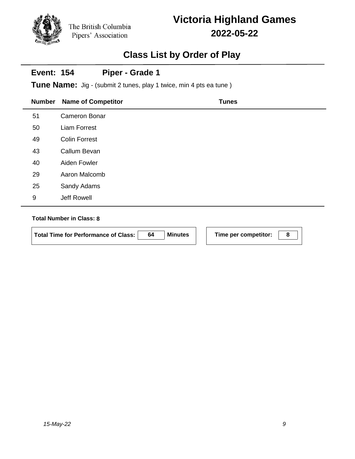# **Victoria Highland Games 2022-05-22**

## **Class List by Order of Play**

#### **Event: 154 Piper - Grade 1**

**Tune Name:** Jig - (submit 2 tunes, play 1 twice, min 4 pts ea tune)

| <b>Number</b> | <b>Name of Competitor</b> | <b>Tunes</b> |
|---------------|---------------------------|--------------|
| 51            | <b>Cameron Bonar</b>      |              |
| 50            | <b>Liam Forrest</b>       |              |
| 49            | <b>Colin Forrest</b>      |              |
| 43            | Callum Bevan              |              |
| 40            | Aiden Fowler              |              |
| 29            | Aaron Malcomb             |              |
| 25            | Sandy Adams               |              |
| 9             | Jeff Rowell               |              |

### **Total Number in Class: 8**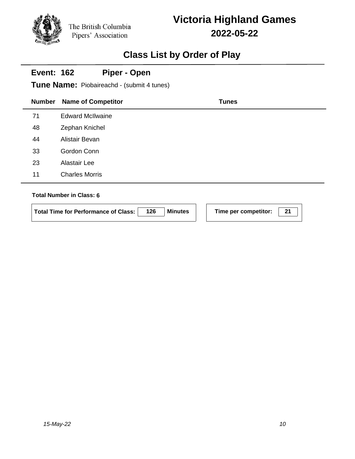# **Victoria Highland Games 2022-05-22**

## **Class List by Order of Play**

#### **Event: 162 Piper - Open**

**Tune Name:** Piobaireachd - (submit 4 tunes)

| <b>Number</b> | <b>Name of Competitor</b> | <b>Tunes</b> |
|---------------|---------------------------|--------------|
| 71            | <b>Edward McIlwaine</b>   |              |
| 48            | Zephan Knichel            |              |
| 44            | Alistair Bevan            |              |
| 33            | Gordon Conn               |              |
| 23            | Alastair Lee              |              |
| 11            | <b>Charles Morris</b>     |              |
|               |                           |              |

### **Total Number in Class: 6**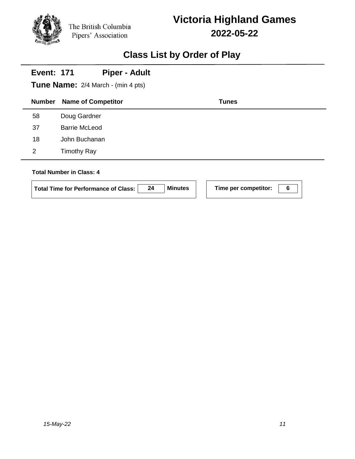## **Class List by Order of Play**

# **Number Name of Competitor Tunes Event: 171 Tune Name:** 2/4 March - (min 4 pts) **Piper - Adult** 58 Doug Gardner 37 Barrie McLeod 18 John Buchanan 2 Timothy Ray **Total Number in Class: 4 Total Time for Performance of Class: 24 Minutes Time per competitor: 6**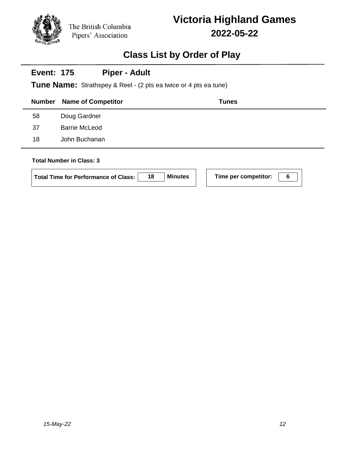## **Class List by Order of Play**

#### **Event: 175 Piper - Adult**

**Tune Name:** Strathspey & Reel - (2 pts ea twice or 4 pts ea tune)

|    | <b>Number</b> Name of Competitor | <b>Tunes</b> |
|----|----------------------------------|--------------|
| 58 | Doug Gardner                     |              |
| 37 | <b>Barrie McLeod</b>             |              |
| 18 | John Buchanan                    |              |

### **Total Number in Class: 3**

**Total Time for Performance of Class:** | 18 | Minutes

| Time per competitor: | 6 |
|----------------------|---|
|                      |   |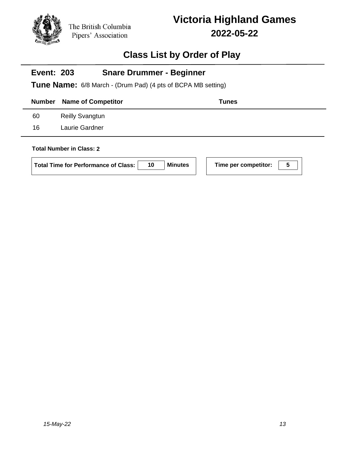

## **Class List by Order of Play**

### **Event: 203 Snare Drummer - Beginner**

**Tune Name:** 6/8 March - (Drum Pad) (4 pts of BCPA MB setting)

|    | <b>Number</b> Name of Competitor | <b>Tunes</b> |
|----|----------------------------------|--------------|
| 60 | <b>Reilly Svangtun</b>           |              |
| 16 | Laurie Gardner                   |              |
|    |                                  |              |

### **Total Number in Class: 2**

| Total Time for Performance of Class: | 10 <sup>°</sup> | Minutes |
|--------------------------------------|-----------------|---------|
|                                      |                 |         |

**Following Time per competitor: 100**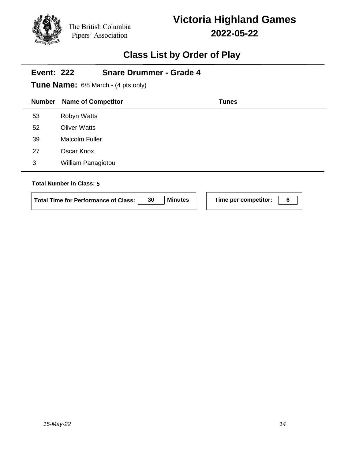# **Victoria Highland Games 2022-05-22**

## **Class List by Order of Play**

| <b>Event: 222</b> | <b>Snare Drummer - Grade 4</b><br><b>Tune Name:</b> 6/8 March - (4 pts only) |              |
|-------------------|------------------------------------------------------------------------------|--------------|
| <b>Number</b>     | <b>Name of Competitor</b>                                                    | <b>Tunes</b> |
| 53                | Robyn Watts                                                                  |              |
| 52                | <b>Oliver Watts</b>                                                          |              |
| 39                | <b>Malcolm Fuller</b>                                                        |              |
| 27                | Oscar Knox                                                                   |              |
| 3                 | William Panagiotou                                                           |              |
|                   | <b>Total Number in Class: 5</b>                                              |              |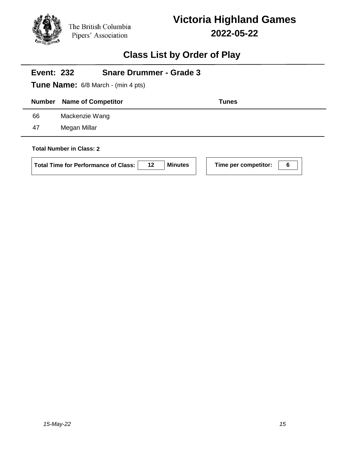

## **Class List by Order of Play**

| <b>Event: 232</b>               | <b>Snare Drummer - Grade 3</b>            |              |  |
|---------------------------------|-------------------------------------------|--------------|--|
|                                 | <b>Tune Name:</b> 6/8 March - (min 4 pts) |              |  |
| <b>Number</b>                   | <b>Name of Competitor</b>                 | <b>Tunes</b> |  |
| 66                              | Mackenzie Wang                            |              |  |
| 47                              | Megan Millar                              |              |  |
| <b>Total Number in Class: 2</b> |                                           |              |  |

| <b>Total Time for Performance of Class:</b> | 12 | Minute |
|---------------------------------------------|----|--------|
|---------------------------------------------|----|--------|

**I** Time per competitor:  $\boxed{6}$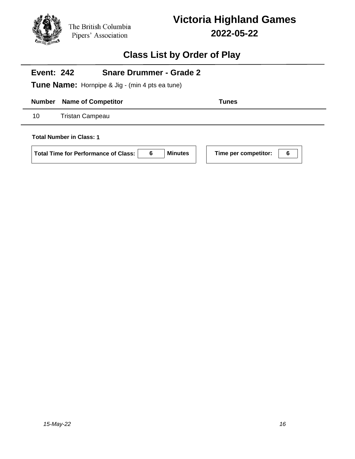

### **Class List by Order of Play**

#### **Event: 242 Snare Drummer - Grade 2**

**Tune Name:** Hornpipe & Jig - (min 4 pts ea tune)

**Number Name of Competitor Tunes** 

10 Tristan Campeau

**Total Number in Class: 1**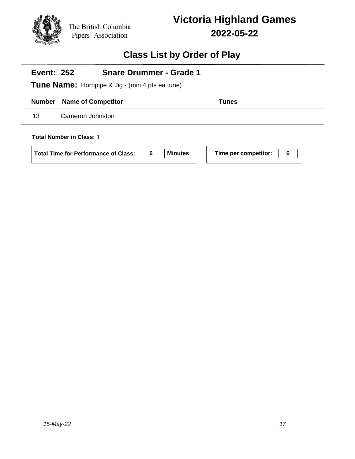

### **Class List by Order of Play**

#### **Event: 252 Snare Drummer - Grade 1**

**Tune Name:** Hornpipe & Jig - (min 4 pts ea tune)

### **Number Name of Competitor Tunes**

13 Cameron Johnston

**Total Number in Class: 1**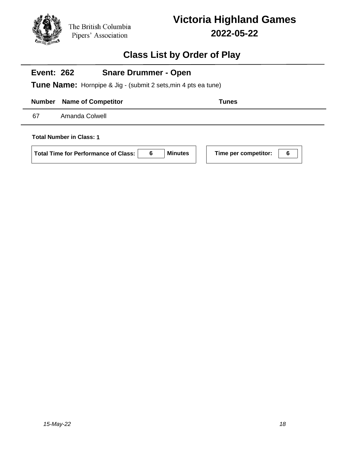

### **Class List by Order of Play**

#### **Event: 262 Snare Drummer - Open**

**Tune Name:** Hornpipe & Jig - (submit 2 sets,min 4 pts ea tune)

### **Number Name of Competitor Tunes**

67 Amanda Colwell

**Total Number in Class: 1**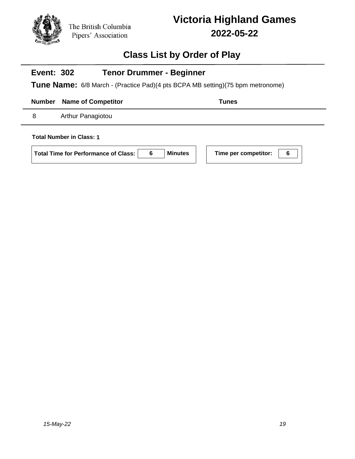

## **Class List by Order of Play**

#### **Event: 302 Tenor Drummer - Beginner**

**Tune Name:** 6/8 March - (Practice Pad)(4 pts BCPA MB setting)(75 bpm metronome)

**Number Name of Competitor Tunes** 

8 Arthur Panagiotou

**Total Number in Class: 1**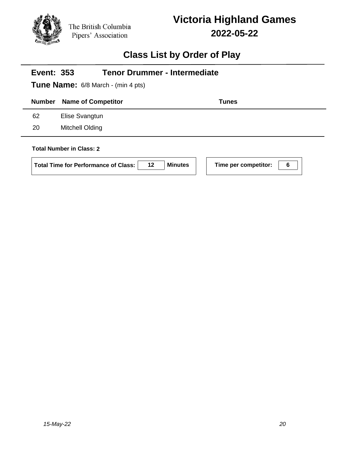

# **Class List by Order of Play**

| <b>Tenor Drummer - Intermediate</b><br><b>Event: 353</b><br><b>Tune Name:</b> 6/8 March - (min 4 pts) |                                                                                      |                |                           |  |
|-------------------------------------------------------------------------------------------------------|--------------------------------------------------------------------------------------|----------------|---------------------------|--|
| <b>Number</b>                                                                                         | <b>Name of Competitor</b>                                                            |                | Tunes                     |  |
| 62                                                                                                    | Elise Svangtun                                                                       |                |                           |  |
| 20                                                                                                    | Mitchell Olding                                                                      |                |                           |  |
|                                                                                                       | <b>Total Number in Class: 2</b><br>12<br><b>Total Time for Performance of Class:</b> | <b>Minutes</b> | Time per competitor:<br>6 |  |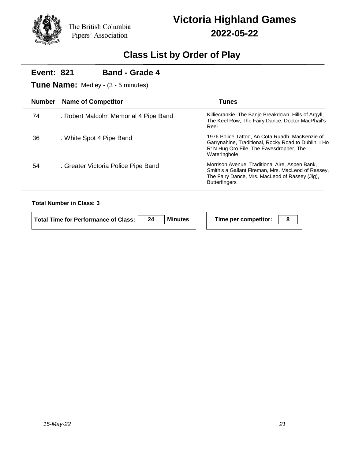### **Class List by Order of Play**

### **Number Name of Competitor Tunes Event: 821 Tune Name:** Medley - (3 - 5 minutes) **Band - Grade 4** . Robert Malcolm Memorial 4 Pipe Band Killiecrankie, The Banjo Breakdown, Hills of Argyll, The Keel Row, The Fairy Dance, Doctor MacPhail's Reel 74 . White Spot 4 Pipe Band 1976 Police Tattoo, An Cota Ruadh, MacKenzie of Garrynahine, Traditional, Rocky Road to Dublin, I Ho R' N Hug Oro Eile, The Eavesdropper, The Wateringhole 36 . Greater Victoria Police Pipe Band Morrison Avenue, Traditional Aire, Aspen Bank, Smith's a Gallant Fireman, Mrs. MacLeod of Rassey, The Fairy Dance, Mrs. MacLeod of Rassey (Jig), **Butterfingers** 54

### **Total Number in Class: 3**

| Total Time for Performance of Class: | <b>Minutes</b> | Time per competitor: |  |
|--------------------------------------|----------------|----------------------|--|
|                                      |                |                      |  |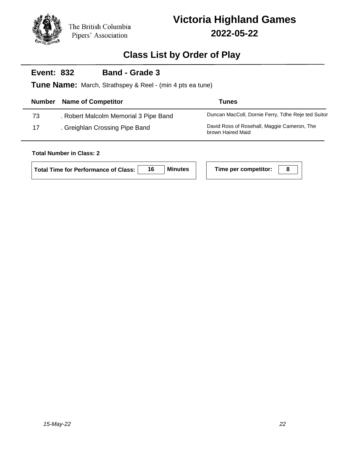

## **Class List by Order of Play**

#### **Event: 832 Band - Grade 3**

**Tune Name:** March, Strathspey & Reel - (min 4 pts ea tune)

| <b>Number</b> | <b>Name of Competitor</b>             | <b>Tunes</b>                                                     |
|---------------|---------------------------------------|------------------------------------------------------------------|
| 73            | . Robert Malcolm Memorial 3 Pipe Band | Duncan MacColl, Dornie Ferry, Tdhe Reje ted Suitor               |
| 17            | . Greighlan Crossing Pipe Band        | David Ross of Rosehall, Maggie Cameron, The<br>brown Haired Maid |

### **Total Number in Class: 2**

|  | Time per competitor: |  |
|--|----------------------|--|
|--|----------------------|--|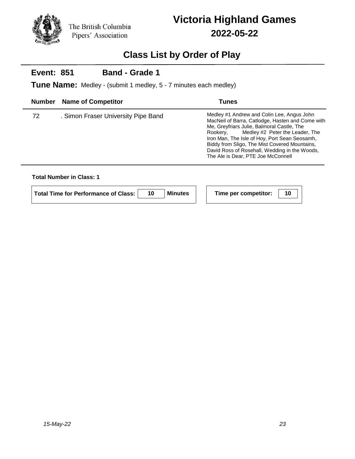

## **Class List by Order of Play**

#### **Event: 851 Band - Grade 1**

**Tune Name:** Medley - (submit 1 medley, 5 - 7 minutes each medley)

|    | <b>Number</b> Name of Competitor    | <b>Tunes</b>                                                                                                                                                                                                                                                                                                                                                                         |
|----|-------------------------------------|--------------------------------------------------------------------------------------------------------------------------------------------------------------------------------------------------------------------------------------------------------------------------------------------------------------------------------------------------------------------------------------|
| 72 | . Simon Fraser University Pipe Band | Medley #1 Andrew and Colin Lee, Angus John<br>MacNeil of Barra, Catlodge, Hasten and Come with<br>Me, Greyfriars Julie, Balmoral Castle, The<br>Medley #2 Peter the Leader, The<br>Rookerv.<br>Iron Man, The Isle of Hoy, Port Sean Seosamh,<br>Biddy from Sligo, The Mist Covered Mountains,<br>David Ross of Rosehall, Wedding in the Woods,<br>The Ale is Dear, PTE Joe McConnell |

### **Total Number in Class: 1**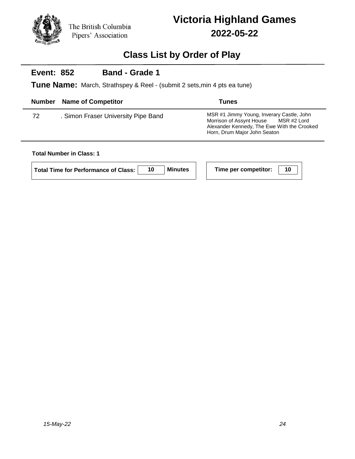

## **Class List by Order of Play**

#### **Event: 852 Band - Grade 1**

**Tune Name:** March, Strathspey & Reel - (submit 2 sets,min 4 pts ea tune)

|    | <b>Number</b> Name of Competitor    | <b>Tunes</b>                                                                                                                                                     |
|----|-------------------------------------|------------------------------------------------------------------------------------------------------------------------------------------------------------------|
| 72 | . Simon Fraser University Pipe Band | MSR #1 Jimmy Young, Inverary Castle, John<br>Morrison of Assynt House MSR #2 Lord<br>Alexander Kennedy, The Ewe With the Crooked<br>Horn, Drum Major John Seaton |

### **Total Number in Class: 1**